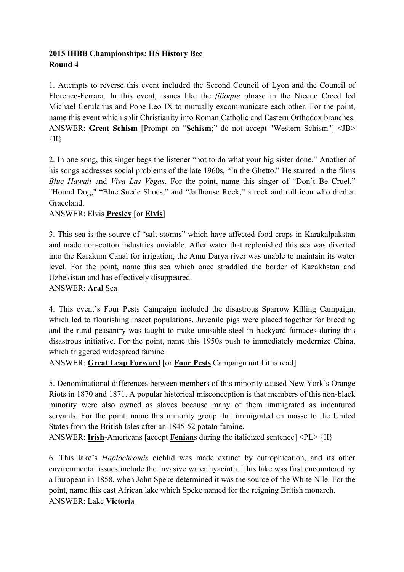## **2015 IHBB Championships: HS History Bee Round 4**

1. Attempts to reverse this event included the Second Council of Lyon and the Council of Florence-Ferrara. In this event, issues like the *filioque* phrase in the Nicene Creed led Michael Cerularius and Pope Leo IX to mutually excommunicate each other. For the point, name this event which split Christianity into Roman Catholic and Eastern Orthodox branches. ANSWER: **Great Schism** [Prompt on "**Schism**;" do not accept "Western Schism"] <JB>  $\{II\}$ 

2. In one song, this singer begs the listener "not to do what your big sister done." Another of his songs addresses social problems of the late 1960s, "In the Ghetto." He starred in the films *Blue Hawaii* and *Viva Las Vegas*. For the point, name this singer of "Don't Be Cruel," "Hound Dog," "Blue Suede Shoes," and "Jailhouse Rock," a rock and roll icon who died at Graceland.

# ANSWER: Elvis **Presley** [or **Elvis**]

3. This sea is the source of "salt storms" which have affected food crops in Karakalpakstan and made non-cotton industries unviable. After water that replenished this sea was diverted into the Karakum Canal for irrigation, the Amu Darya river was unable to maintain its water level. For the point, name this sea which once straddled the border of Kazakhstan and Uzbekistan and has effectively disappeared.

## ANSWER: **Aral** Sea

4. This event's Four Pests Campaign included the disastrous Sparrow Killing Campaign, which led to flourishing insect populations. Juvenile pigs were placed together for breeding and the rural peasantry was taught to make unusable steel in backyard furnaces during this disastrous initiative. For the point, name this 1950s push to immediately modernize China, which triggered widespread famine.

ANSWER: **Great Leap Forward** [or **Four Pests** Campaign until it is read]

5. Denominational differences between members of this minority caused New York's Orange Riots in 1870 and 1871. A popular historical misconception is that members of this non-black minority were also owned as slaves because many of them immigrated as indentured servants. For the point, name this minority group that immigrated en masse to the United States from the British Isles after an 1845-52 potato famine.

ANSWER: **Irish**-Americans [accept **Fenian**s during the italicized sentence] <PL> {II}

6. This lake's *Haplochromis* cichlid was made extinct by eutrophication, and its other environmental issues include the invasive water hyacinth. This lake was first encountered by a European in 1858, when John Speke determined it was the source of the White Nile. For the point, name this east African lake which Speke named for the reigning British monarch. ANSWER: Lake **Victoria**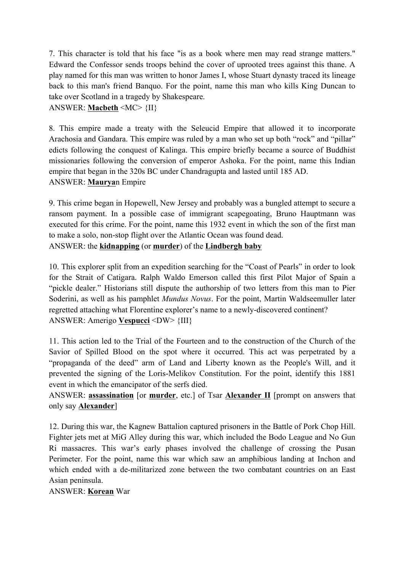7. This character is told that his face "is as a book where men may read strange matters." Edward the Confessor sends troops behind the cover of uprooted trees against this thane. A play named for this man was written to honor James I, whose Stuart dynasty traced its lineage back to this man's friend Banquo. For the point, name this man who kills King Duncan to take over Scotland in a tragedy by Shakespeare.

## ANSWER: **Macbeth** <MC> {II}

8. This empire made a treaty with the Seleucid Empire that allowed it to incorporate Arachosia and Gandara. This empire was ruled by a man who set up both "rock" and "pillar" edicts following the conquest of Kalinga. This empire briefly became a source of Buddhist missionaries following the conversion of emperor Ashoka. For the point, name this Indian empire that began in the 320s BC under Chandragupta and lasted until 185 AD. ANSWER: **Maurya**n Empire

9. This crime began in Hopewell, New Jersey and probably was a bungled attempt to secure a ransom payment. In a possible case of immigrant scapegoating, Bruno Hauptmann was executed for this crime. For the point, name this 1932 event in which the son of the first man to make a solo, non-stop flight over the Atlantic Ocean was found dead. ANSWER: the **kidnapping** (or **murder**) of the **Lindbergh baby**

10. This explorer split from an expedition searching for the "Coast of Pearls" in order to look for the Strait of Catigara. Ralph Waldo Emerson called this first Pilot Major of Spain a "pickle dealer." Historians still dispute the authorship of two letters from this man to Pier Soderini, as well as his pamphlet *Mundus Novus*. For the point, Martin Waldseemuller later regretted attaching what Florentine explorer's name to a newly-discovered continent? ANSWER: Amerigo **Vespucci** <DW> {III}

11. This action led to the Trial of the Fourteen and to the construction of the Church of the Savior of Spilled Blood on the spot where it occurred. This act was perpetrated by a "propaganda of the deed" arm of Land and Liberty known as the People's Will, and it prevented the signing of the Loris-Melikov Constitution. For the point, identify this 1881 event in which the emancipator of the serfs died.

ANSWER: **assassination** [or **murder**, etc.] of Tsar **Alexander II** [prompt on answers that only say **Alexander**]

12. During this war, the Kagnew Battalion captured prisoners in the Battle of Pork Chop Hill. Fighter jets met at MiG Alley during this war, which included the Bodo League and No Gun Ri massacres. This war's early phases involved the challenge of crossing the Pusan Perimeter. For the point, name this war which saw an amphibious landing at Inchon and which ended with a de-militarized zone between the two combatant countries on an East Asian peninsula.

ANSWER: **Korean** War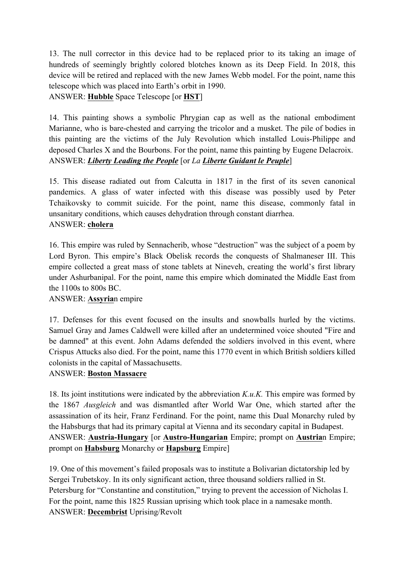13. The null corrector in this device had to be replaced prior to its taking an image of hundreds of seemingly brightly colored blotches known as its Deep Field. In 2018, this device will be retired and replaced with the new James Webb model. For the point, name this telescope which was placed into Earth's orbit in 1990.

ANSWER: **Hubble** Space Telescope [or **HST**]

14. This painting shows a symbolic Phrygian cap as well as the national embodiment Marianne, who is bare-chested and carrying the tricolor and a musket. The pile of bodies in this painting are the victims of the July Revolution which installed Louis-Philippe and deposed Charles X and the Bourbons. For the point, name this painting by Eugene Delacroix. ANSWER: *Liberty Leading the People* [or *La Liberte Guidant le Peuple*]

15. This disease radiated out from Calcutta in 1817 in the first of its seven canonical pandemics. A glass of water infected with this disease was possibly used by Peter Tchaikovsky to commit suicide. For the point, name this disease, commonly fatal in unsanitary conditions, which causes dehydration through constant diarrhea. ANSWER: **cholera**

16. This empire was ruled by Sennacherib, whose "destruction" was the subject of a poem by Lord Byron. This empire's Black Obelisk records the conquests of Shalmaneser III. This empire collected a great mass of stone tablets at Nineveh, creating the world's first library under Ashurbanipal. For the point, name this empire which dominated the Middle East from the 1100s to 800s BC.

## ANSWER: **Assyria**n empire

17. Defenses for this event focused on the insults and snowballs hurled by the victims. Samuel Gray and James Caldwell were killed after an undetermined voice shouted "Fire and be damned" at this event. John Adams defended the soldiers involved in this event, where Crispus Attucks also died. For the point, name this 1770 event in which British soldiers killed colonists in the capital of Massachusetts.

## ANSWER: **Boston Massacre**

18. Its joint institutions were indicated by the abbreviation *K.u.K.* This empire was formed by the 1867 *Ausgleich* and was dismantled after World War One, which started after the assassination of its heir, Franz Ferdinand. For the point, name this Dual Monarchy ruled by the Habsburgs that had its primary capital at Vienna and its secondary capital in Budapest. ANSWER: **Austria-Hungary** [or **Austro-Hungarian** Empire; prompt on **Austria**n Empire; prompt on **Habsburg** Monarchy or **Hapsburg** Empire]

19. One of this movement's failed proposals was to institute a Bolivarian dictatorship led by Sergei Trubetskoy. In its only significant action, three thousand soldiers rallied in St. Petersburg for "Constantine and constitution," trying to prevent the accession of Nicholas I. For the point, name this 1825 Russian uprising which took place in a namesake month. ANSWER: **Decembrist** Uprising/Revolt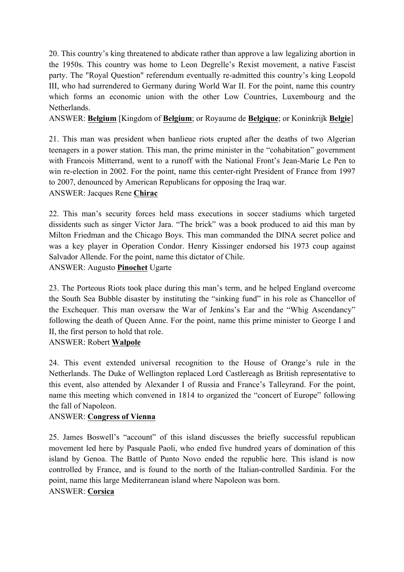20. This country's king threatened to abdicate rather than approve a law legalizing abortion in the 1950s. This country was home to Leon Degrelle's Rexist movement, a native Fascist party. The "Royal Question" referendum eventually re-admitted this country's king Leopold III, who had surrendered to Germany during World War II. For the point, name this country which forms an economic union with the other Low Countries, Luxembourg and the Netherlands.

## ANSWER: **Belgium** [Kingdom of **Belgium**; or Royaume de **Belgique**; or Koninkrijk **Belgie**]

21. This man was president when banlieue riots erupted after the deaths of two Algerian teenagers in a power station. This man, the prime minister in the "cohabitation" government with Francois Mitterrand, went to a runoff with the National Front's Jean-Marie Le Pen to win re-election in 2002. For the point, name this center-right President of France from 1997 to 2007, denounced by American Republicans for opposing the Iraq war.

ANSWER: Jacques Rene **Chirac**

22. This man's security forces held mass executions in soccer stadiums which targeted dissidents such as singer Victor Jara. "The brick" was a book produced to aid this man by Milton Friedman and the Chicago Boys. This man commanded the DINA secret police and was a key player in Operation Condor. Henry Kissinger endorsed his 1973 coup against Salvador Allende. For the point, name this dictator of Chile. ANSWER: Augusto **Pinochet** Ugarte

23. The Porteous Riots took place during this man's term, and he helped England overcome the South Sea Bubble disaster by instituting the "sinking fund" in his role as Chancellor of the Exchequer. This man oversaw the War of Jenkins's Ear and the "Whig Ascendancy" following the death of Queen Anne. For the point, name this prime minister to George I and II, the first person to hold that role.

## ANSWER: Robert **Walpole**

24. This event extended universal recognition to the House of Orange's rule in the Netherlands. The Duke of Wellington replaced Lord Castlereagh as British representative to this event, also attended by Alexander I of Russia and France's Talleyrand. For the point, name this meeting which convened in 1814 to organized the "concert of Europe" following the fall of Napoleon.

## ANSWER: **Congress of Vienna**

25. James Boswell's "account" of this island discusses the briefly successful republican movement led here by Pasquale Paoli, who ended five hundred years of domination of this island by Genoa. The Battle of Punto Novo ended the republic here. This island is now controlled by France, and is found to the north of the Italian-controlled Sardinia. For the point, name this large Mediterranean island where Napoleon was born.

## ANSWER: **Corsica**